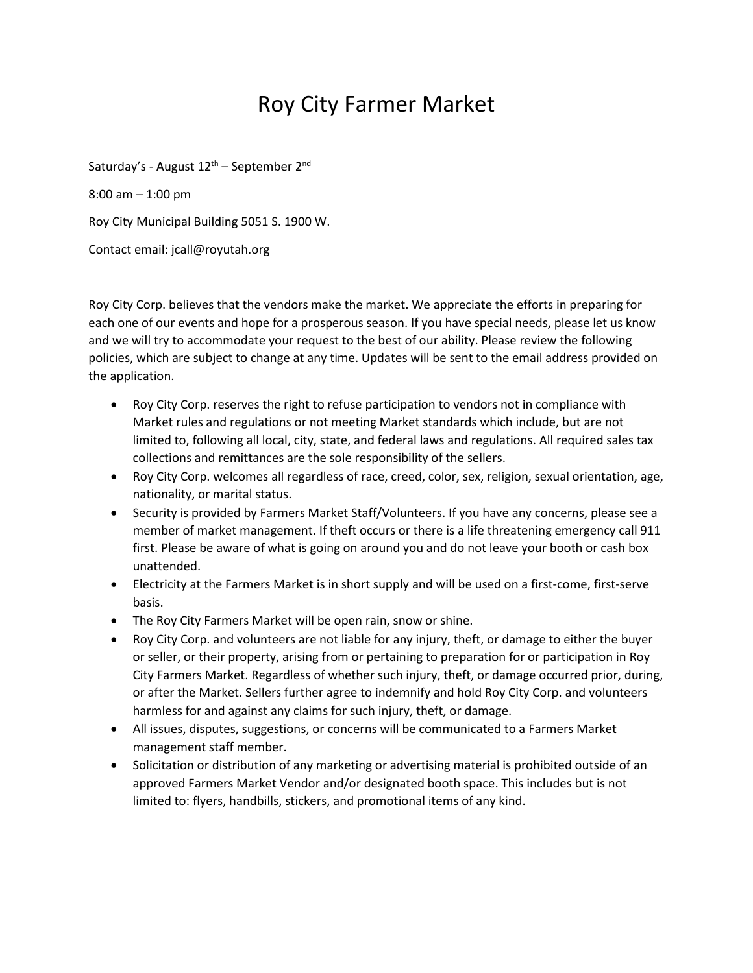## Roy City Farmer Market

Saturday's - August  $12^{th}$  – September  $2^{nd}$ 8:00 am – 1:00 pm Roy City Municipal Building 5051 S. 1900 W. Contact email: jcall@royutah.org

Roy City Corp. believes that the vendors make the market. We appreciate the efforts in preparing for each one of our events and hope for a prosperous season. If you have special needs, please let us know and we will try to accommodate your request to the best of our ability. Please review the following policies, which are subject to change at any time. Updates will be sent to the email address provided on the application.

- Roy City Corp. reserves the right to refuse participation to vendors not in compliance with Market rules and regulations or not meeting Market standards which include, but are not limited to, following all local, city, state, and federal laws and regulations. All required sales tax collections and remittances are the sole responsibility of the sellers.
- Roy City Corp. welcomes all regardless of race, creed, color, sex, religion, sexual orientation, age, nationality, or marital status.
- Security is provided by Farmers Market Staff/Volunteers. If you have any concerns, please see a member of market management. If theft occurs or there is a life threatening emergency call 911 first. Please be aware of what is going on around you and do not leave your booth or cash box unattended.
- Electricity at the Farmers Market is in short supply and will be used on a first-come, first-serve basis.
- The Roy City Farmers Market will be open rain, snow or shine.
- Roy City Corp. and volunteers are not liable for any injury, theft, or damage to either the buyer or seller, or their property, arising from or pertaining to preparation for or participation in Roy City Farmers Market. Regardless of whether such injury, theft, or damage occurred prior, during, or after the Market. Sellers further agree to indemnify and hold Roy City Corp. and volunteers harmless for and against any claims for such injury, theft, or damage.
- All issues, disputes, suggestions, or concerns will be communicated to a Farmers Market management staff member.
- Solicitation or distribution of any marketing or advertising material is prohibited outside of an approved Farmers Market Vendor and/or designated booth space. This includes but is not limited to: flyers, handbills, stickers, and promotional items of any kind.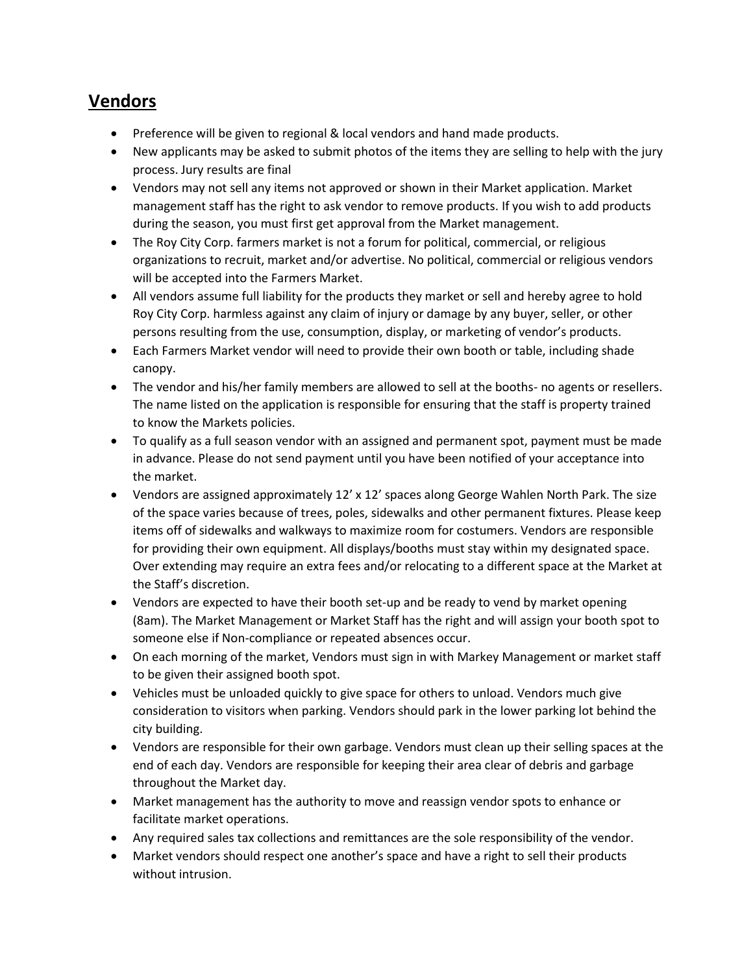## **Vendors**

- Preference will be given to regional & local vendors and hand made products.
- New applicants may be asked to submit photos of the items they are selling to help with the jury process. Jury results are final
- Vendors may not sell any items not approved or shown in their Market application. Market management staff has the right to ask vendor to remove products. If you wish to add products during the season, you must first get approval from the Market management.
- The Roy City Corp. farmers market is not a forum for political, commercial, or religious organizations to recruit, market and/or advertise. No political, commercial or religious vendors will be accepted into the Farmers Market.
- All vendors assume full liability for the products they market or sell and hereby agree to hold Roy City Corp. harmless against any claim of injury or damage by any buyer, seller, or other persons resulting from the use, consumption, display, or marketing of vendor's products.
- Each Farmers Market vendor will need to provide their own booth or table, including shade canopy.
- The vendor and his/her family members are allowed to sell at the booths- no agents or resellers. The name listed on the application is responsible for ensuring that the staff is property trained to know the Markets policies.
- To qualify as a full season vendor with an assigned and permanent spot, payment must be made in advance. Please do not send payment until you have been notified of your acceptance into the market.
- Vendors are assigned approximately 12' x 12' spaces along George Wahlen North Park. The size of the space varies because of trees, poles, sidewalks and other permanent fixtures. Please keep items off of sidewalks and walkways to maximize room for costumers. Vendors are responsible for providing their own equipment. All displays/booths must stay within my designated space. Over extending may require an extra fees and/or relocating to a different space at the Market at the Staff's discretion.
- Vendors are expected to have their booth set-up and be ready to vend by market opening (8am). The Market Management or Market Staff has the right and will assign your booth spot to someone else if Non-compliance or repeated absences occur.
- On each morning of the market, Vendors must sign in with Markey Management or market staff to be given their assigned booth spot.
- Vehicles must be unloaded quickly to give space for others to unload. Vendors much give consideration to visitors when parking. Vendors should park in the lower parking lot behind the city building.
- Vendors are responsible for their own garbage. Vendors must clean up their selling spaces at the end of each day. Vendors are responsible for keeping their area clear of debris and garbage throughout the Market day.
- Market management has the authority to move and reassign vendor spots to enhance or facilitate market operations.
- Any required sales tax collections and remittances are the sole responsibility of the vendor.
- Market vendors should respect one another's space and have a right to sell their products without intrusion.